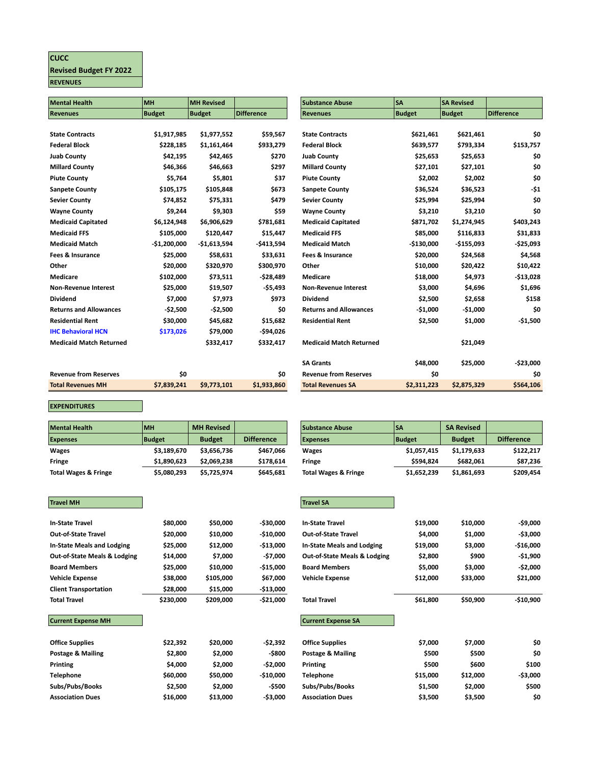## **CUCC Revised Budget FY 2022 REVENUES**

| <b>Mental Health</b>           | MH            | <b>MH Revised</b> |                   | <b>Substance Abuse</b>         | <b>SA</b>     | <b>SA Revised</b> |                   |
|--------------------------------|---------------|-------------------|-------------------|--------------------------------|---------------|-------------------|-------------------|
| <b>Revenues</b>                | <b>Budget</b> | <b>Budget</b>     | <b>Difference</b> | <b>Revenues</b>                | <b>Budget</b> | <b>Budget</b>     | <b>Difference</b> |
|                                |               |                   |                   |                                |               |                   |                   |
| <b>State Contracts</b>         | \$1,917,985   | \$1,977,552       | \$59,567          | <b>State Contracts</b>         | \$621,461     | \$621,461         | \$0               |
| <b>Federal Block</b>           | \$228,185     | \$1,161,464       | \$933,279         | <b>Federal Block</b>           | \$639,577     | \$793,334         | \$153,757         |
| <b>Juab County</b>             | \$42,195      | \$42,465          | \$270             | <b>Juab County</b>             | \$25,653      | \$25,653          | \$0               |
| <b>Millard County</b>          | \$46,366      | \$46,663          | \$297             | <b>Millard County</b>          | \$27,101      | \$27,101          | \$0               |
| <b>Piute County</b>            | \$5,764       | \$5,801           | \$37              | <b>Piute County</b>            | \$2,002       | \$2,002           | \$0               |
| Sanpete County                 | \$105,175     | \$105,848         | \$673             | <b>Sanpete County</b>          | \$36,524      | \$36,523          | -\$1              |
| Sevier County                  | \$74,852      | \$75,331          | \$479             | <b>Sevier County</b>           | \$25,994      | \$25,994          | \$0               |
| <b>Wayne County</b>            | \$9,244       | \$9,303           | \$59              | <b>Wayne County</b>            | \$3,210       | \$3,210           | \$0               |
| <b>Medicaid Capitated</b>      | \$6,124,948   | \$6,906,629       | \$781,681         | <b>Medicaid Capitated</b>      | \$871,702     | \$1,274,945       | \$403,243         |
| <b>Medicaid FFS</b>            | \$105,000     | \$120,447         | \$15,447          | <b>Medicaid FFS</b>            | \$85,000      | \$116,833         | \$31,833          |
| <b>Medicaid Match</b>          | $-$1,200,000$ | $-$1,613,594$     | $-5413,594$       | <b>Medicaid Match</b>          | $-$130,000$   | $-$155,093$       | $-525,093$        |
| Fees & Insurance               | \$25,000      | \$58,631          | \$33,631          | Fees & Insurance               | \$20,000      | \$24,568          | \$4,568           |
| Other                          | \$20,000      | \$320,970         | \$300,970         | Other                          | \$10,000      | \$20,422          | \$10,422          |
| <b>Medicare</b>                | \$102,000     | \$73,511          | $-528,489$        | Medicare                       | \$18,000      | \$4,973           | $-$13,028$        |
| <b>Non-Revenue Interest</b>    | \$25,000      | \$19,507          | $-55,493$         | <b>Non-Revenue Interest</b>    | \$3,000       | \$4,696           | \$1,696           |
| Dividend                       | \$7,000       | \$7,973           | \$973             | <b>Dividend</b>                | \$2,500       | \$2,658           | \$158             |
| <b>Returns and Allowances</b>  | $-52,500$     | $-52,500$         | \$0               | <b>Returns and Allowances</b>  | $-$1,000$     | $-51,000$         | \$0               |
| <b>Residential Rent</b>        | \$30,000      | \$45,682          | \$15,682          | <b>Residential Rent</b>        | \$2,500       | \$1,000           | $-51,500$         |
| <b>IHC Behavioral HCN</b>      | \$173,026     | \$79,000          | $-594,026$        |                                |               |                   |                   |
| <b>Medicaid Match Returned</b> |               | \$332,417         | \$332,417         | <b>Medicaid Match Returned</b> |               | \$21,049          |                   |
|                                |               |                   |                   |                                |               |                   |                   |
|                                |               |                   |                   | <b>SA Grants</b>               | \$48,000      | \$25,000          | $-$23,000$        |
| <b>Revenue from Reserves</b>   | \$0           |                   | \$0               | <b>Revenue from Reserves</b>   | \$0           |                   | \$0               |
| <b>Total Revenues MH</b>       | \$7,839,241   | \$9,773,101       | \$1,933,860       | <b>Total Revenues SA</b>       | \$2,311,223   | \$2,875,329       | \$564,106         |

**EXPENDITURES**

| <b>Mental Health</b>            | <b>MH</b>     | <b>MH Revised</b> |                   | Substance Abuse                 | lSA           | <b>SA Revised</b> |                   |
|---------------------------------|---------------|-------------------|-------------------|---------------------------------|---------------|-------------------|-------------------|
| <b>Expenses</b>                 | <b>Budget</b> | <b>Budget</b>     | <b>Difference</b> | <b>Expenses</b>                 | <b>Budget</b> | <b>Budget</b>     | <b>Difference</b> |
| Wages                           | \$3.189.670   | \$3,656,736       | \$467.066         | <b>Wages</b>                    | \$1,057,415   | \$1,179,633       | \$122,2           |
| Fringe                          | \$1.890.623   | \$2,069,238       | \$178,614         | Fringe                          | \$594.824     | \$682.061         | \$87,2            |
| <b>Total Wages &amp; Fringe</b> | \$5,080,293   | \$5,725,974       | \$645.681         | <b>Total Wages &amp; Fringe</b> | \$1,652,239   | \$1,861,693       | \$209,4           |

| <b>Mental Health</b> | <b>IMH</b>  | <b>MH Revised</b> |                   | <b>Substance Abuse</b>          | l SA        | <b>SA Revised</b> |                   |
|----------------------|-------------|-------------------|-------------------|---------------------------------|-------------|-------------------|-------------------|
| <b>Expenses</b>      | Budget      | <b>Budget</b>     | <b>Difference</b> | <b>Expenses</b>                 | Budget      | <b>Budget</b>     | <b>Difference</b> |
| Wages                | \$3,189,670 | \$3,656.736       | \$467.066         | <b>Wages</b>                    | \$1,057,415 | \$1,179,633       | \$122,217         |
| Fringe               | \$1,890,623 | \$2.069.238       | \$178,614         | Fringe                          | \$594.824   | \$682,061         | \$87,236          |
| Total Wages & Fringe | \$5,080,293 | \$5,725,974       | \$645,681         | <b>Total Wages &amp; Fringe</b> | \$1,652,239 | \$1,861,693       | \$209,454         |

| <b>Travel MH</b>                        |           |           |            | <b>Travel SA</b>                |
|-----------------------------------------|-----------|-----------|------------|---------------------------------|
|                                         |           |           |            |                                 |
| <b>In-State Travel</b>                  | \$80,000  | \$50,000  | -\$30,000  | <b>In-State Travel</b>          |
| <b>Out-of-State Travel</b>              | \$20,000  | \$10,000  | $-$10,000$ | <b>Out-of-State Travel</b>      |
| In-State Meals and Lodging              | \$25,000  | \$12,000  | $-$13,000$ | <b>In-State Meals and Lo</b>    |
| <b>Out-of-State Meals &amp; Lodging</b> | \$14,000  | \$7,000   | -\$7,000   | <b>Out-of-State Meals &amp;</b> |
| <b>Board Members</b>                    | \$25,000  | \$10,000  | $-515,000$ | <b>Board Members</b>            |
| <b>Vehicle Expense</b>                  | \$38,000  | \$105,000 | \$67,000   | <b>Vehicle Expense</b>          |
| <b>Client Transportation</b>            | \$28,000  | \$15,000  | $-$13,000$ |                                 |
| <b>Total Travel</b>                     | \$230,000 | \$209,000 | $-521,000$ | <b>Total Travel</b>             |
| <b>Current Expense MH</b>               |           |           |            | <b>Current Expense SA</b>       |
| <b>Office Supplies</b>                  | \$22,392  | \$20,000  | -\$2,392   | <b>Office Supplies</b>          |
| Postage & Mailing                       | \$2,800   | \$2,000   | -\$800     | Postage & Mailing               |

| \$80,000<br>\$20,000 | \$50,000                                | -\$30,000  | <b>In-State Travel</b>            |          |          |           |
|----------------------|-----------------------------------------|------------|-----------------------------------|----------|----------|-----------|
|                      |                                         |            |                                   |          |          |           |
|                      |                                         |            |                                   | \$19,000 | \$10,000 | -\$9,000  |
|                      |                                         | $-$10,000$ | <b>Out-of-State Travel</b>        | \$4,000  | \$1,000  | -\$3,000  |
| \$25,000             | \$12,000                                | $-$13,000$ | <b>In-State Meals and Lodging</b> | \$19,000 | \$3,000  | -\$16,000 |
| \$14,000             | \$7,000                                 | -\$7,000   | Out-of-State Meals & Lodging      | \$2,800  | \$900    | -\$1,900  |
| \$25,000             | \$10,000                                | $-$15,000$ | <b>Board Members</b>              | \$5,000  | \$3,000  | -\$2,000  |
| \$38,000             | \$105,000                               | \$67,000   | <b>Vehicle Expense</b>            | \$12,000 | \$33,000 | \$21,000  |
| \$28,000             | \$15,000                                | $-$13,000$ |                                   |          |          |           |
| \$230,000            | \$209,000                               | -\$21,000  | <b>Total Travel</b>               | \$61,800 | \$50,900 | -\$10,900 |
|                      |                                         |            |                                   |          |          |           |
|                      |                                         |            | <b>Current Expense SA</b>         |          |          |           |
|                      |                                         |            |                                   |          |          |           |
| \$22,392             | \$20,000                                | -\$2,392   | <b>Office Supplies</b>            | \$7,000  | \$7,000  | \$0       |
| \$2,800              | \$2,000                                 | -\$800     | Postage & Mailing                 | \$500    | \$500    | \$0       |
| \$4,000              | \$2,000                                 | -\$2,000   | Printing                          | \$500    | \$600    | \$100     |
| \$60,000             | \$50,000                                | $-$10,000$ | Telephone                         | \$15,000 | \$12,000 | -\$3,000  |
| \$2,500              | \$2,000                                 | -\$500     | Subs/Pubs/Books                   | \$1,500  | \$2,000  | \$500     |
| \$16,000             | \$13,000                                | -\$3,000   | <b>Association Dues</b>           | \$3,500  | \$3,500  | \$0       |
|                      | <b>Out-of-State Meals &amp; Lodging</b> | \$10,000   |                                   |          |          |           |